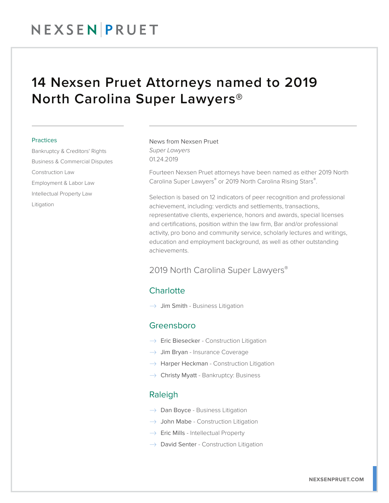# NEXSENPRUET

# 14 Nexsen Pruet Attorneys named to 2019 North Carolina Super Lawyers®

#### **Practices**

Bankruptcy & Creditors' Rights Business & Commercial Disputes Construction Law Employment & Labor Law Intellectual Property Law Litigation

News from Nexsen Pruet *Super Lawyers* 01.24.2019

Fourteen Nexsen Pruet attorneys have been named as either 2019 North Carolina Super Lawyers® or 2019 North Carolina Rising Stars®.

Selection is based on 12 indicators of peer recognition and professional achievement, including: verdicts and settlements, transactions, representative clients, experience, honors and awards, special licenses and certifications, position within the law firm, Bar and/or professional activity, pro bono and community service, scholarly lectures and writings, education and employment background, as well as other outstanding achievements.

## 2019 North Carolina Super Lawyers®

### **Charlotte**

 $\rightarrow$  Jim Smith - Business Litigation

### Greensboro

- $\rightarrow$  Eric Biesecker Construction Litigation
- $\rightarrow$  Jim Bryan Insurance Coverage
- $\rightarrow$  Harper Heckman Construction Litigation
- $\rightarrow$  Christy Myatt Bankruptcy: Business

#### Raleigh

- $\rightarrow$  Dan Boyce Business Litigation
- $\rightarrow$  John Mabe Construction Litigation
- $\rightarrow$  Eric Mills Intellectual Property
- $\rightarrow$  David Senter Construction Litigation